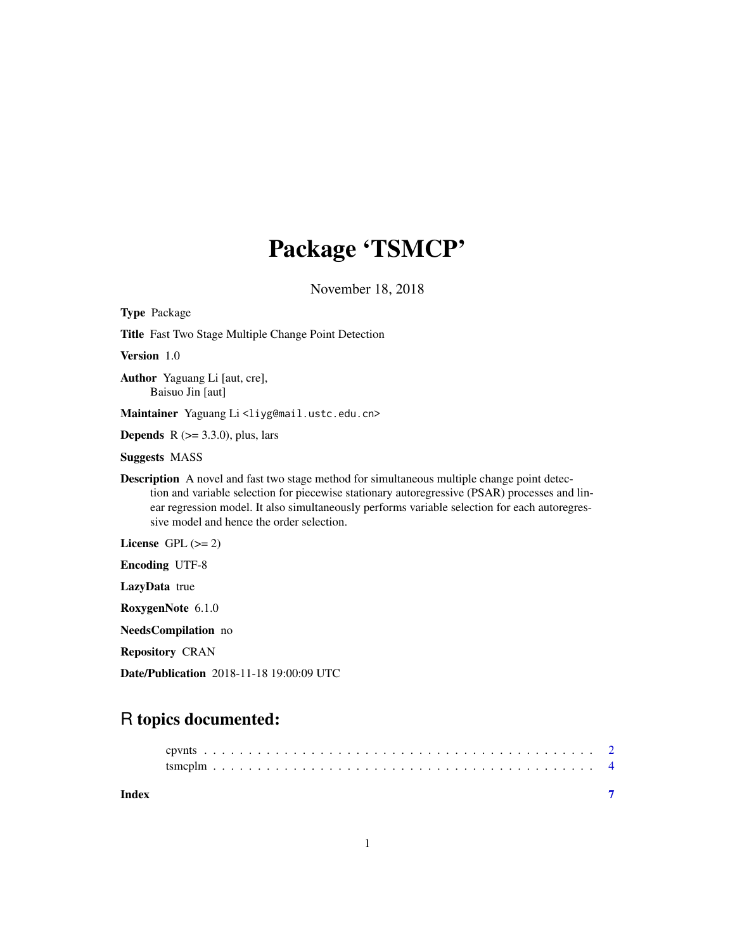# Package 'TSMCP'

November 18, 2018

<span id="page-0-0"></span>

| <b>Type Package</b>                                                                                                                                                                                                                                                                                                                               |
|---------------------------------------------------------------------------------------------------------------------------------------------------------------------------------------------------------------------------------------------------------------------------------------------------------------------------------------------------|
| <b>Title</b> Fast Two Stage Multiple Change Point Detection                                                                                                                                                                                                                                                                                       |
| Version 1.0                                                                                                                                                                                                                                                                                                                                       |
| <b>Author</b> Yaguang Li [aut, cre],<br>Baisuo Jin [aut]                                                                                                                                                                                                                                                                                          |
| Maintainer Yaguang Li <liyg@mail.ustc.edu.cn></liyg@mail.ustc.edu.cn>                                                                                                                                                                                                                                                                             |
| <b>Depends</b> $R$ ( $> = 3.3.0$ ), plus, lars                                                                                                                                                                                                                                                                                                    |
| <b>Suggests MASS</b>                                                                                                                                                                                                                                                                                                                              |
| <b>Description</b> A novel and fast two stage method for simultaneous multiple change point detec-<br>tion and variable selection for piecewise stationary autoregressive (PSAR) processes and lin-<br>ear regression model. It also simultaneously performs variable selection for each autoregres-<br>sive model and hence the order selection. |
| License GPL $(>= 2)$                                                                                                                                                                                                                                                                                                                              |
| <b>Encoding UTF-8</b>                                                                                                                                                                                                                                                                                                                             |
| LazyData true                                                                                                                                                                                                                                                                                                                                     |
| RoxygenNote 6.1.0                                                                                                                                                                                                                                                                                                                                 |
| NeedsCompilation no                                                                                                                                                                                                                                                                                                                               |
| <b>Repository CRAN</b>                                                                                                                                                                                                                                                                                                                            |
| <b>Date/Publication</b> 2018-11-18 19:00:09 UTC                                                                                                                                                                                                                                                                                                   |

# R topics documented:

| Index |  |  |  |  |  |  |  |  |  |  |  |  |  |  |  |  |  |  |
|-------|--|--|--|--|--|--|--|--|--|--|--|--|--|--|--|--|--|--|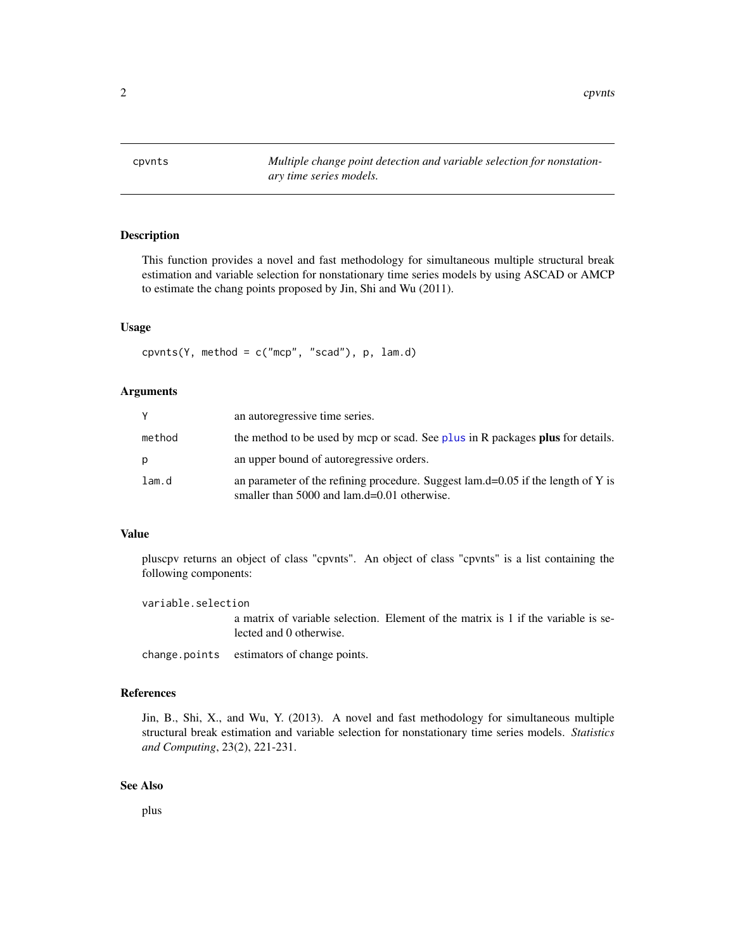<span id="page-1-0"></span>cpvnts *Multiple change point detection and variable selection for nonstationary time series models.*

# Description

This function provides a novel and fast methodology for simultaneous multiple structural break estimation and variable selection for nonstationary time series models by using ASCAD or AMCP to estimate the chang points proposed by Jin, Shi and Wu (2011).

#### Usage

cpvnts(Y, method =  $c("mcp", "scal"), p, lam.d)$ 

# Arguments

|        | an autoregressive time series.                                                                                                    |
|--------|-----------------------------------------------------------------------------------------------------------------------------------|
| method | the method to be used by mcp or scad. See plus in R packages plus for details.                                                    |
| р      | an upper bound of autoregressive orders.                                                                                          |
| lam.d  | an parameter of the refining procedure. Suggest $lam.d=0.05$ if the length of Y is<br>smaller than 5000 and lam.d=0.01 otherwise. |

## Value

pluscpv returns an object of class "cpvnts". An object of class "cpvnts" is a list containing the following components:

variable.selection

a matrix of variable selection. Element of the matrix is 1 if the variable is selected and 0 otherwise.

change.points estimators of change points.

# References

Jin, B., Shi, X., and Wu, Y. (2013). A novel and fast methodology for simultaneous multiple structural break estimation and variable selection for nonstationary time series models. *Statistics and Computing*, 23(2), 221-231.

#### See Also

plus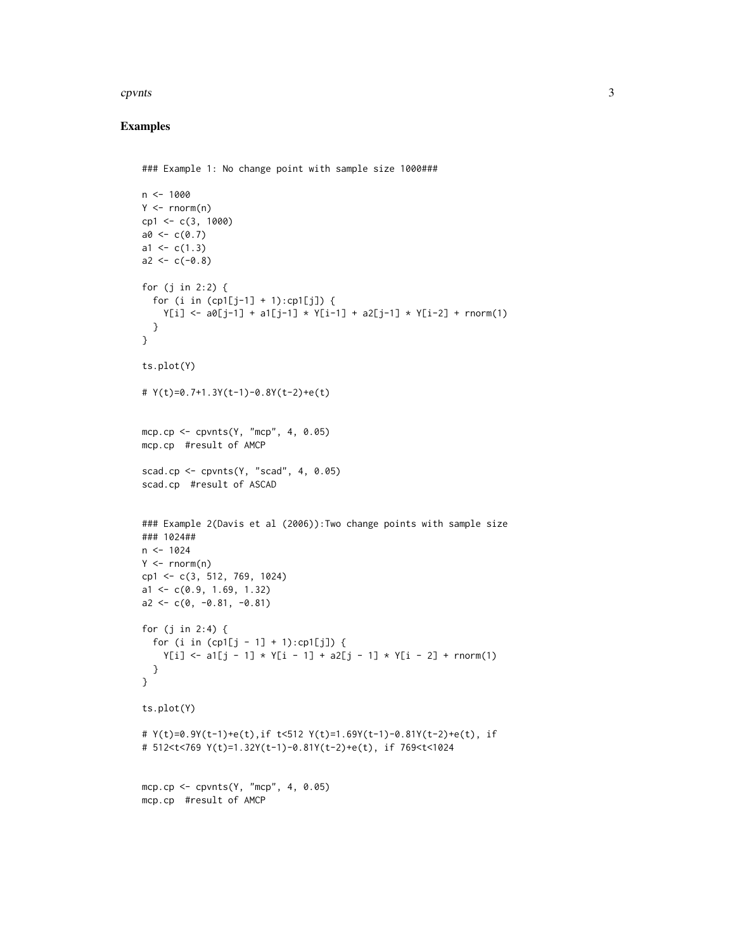#### cpvnts 3

## Examples

```
### Example 1: No change point with sample size 1000###
n < -1000Y \leftarrow \text{norm}(n)cp1 <- c(3, 1000)
a0 < -c(0.7)a1 <- c(1.3)a2 < -c(-0.8)for (j in 2:2) {
 for (i in (cp1[j-1] + 1):cp1[j]) {
    Y[i] \leftarrow a0[j-1] + a1[j-1] \times Y[i-1] + a2[j-1] \times Y[i-2] + \text{norm}(1)}
}
ts.plot(Y)
# Y(t)=0.7+1.3Y(t-1)-0.8Y(t-2)+e(t)
mcp.cp <- cpvnts(Y, "mcp", 4, 0.05)
mcp.cp #result of AMCP
scad.cp \leq cpvnts(Y, "scad", 4, 0.05)
scad.cp #result of ASCAD
### Example 2(Davis et al (2006)): Two change points with sample size
### 1024##
n < - 1024Y \leftarrow \text{norm}(n)cp1 <- c(3, 512, 769, 1024)
a1 <- c(0.9, 1.69, 1.32)
a2 \leftarrow c(0, -0.81, -0.81)for (j in 2:4) {
  for (i in (cp1[j - 1] + 1):cp1[j]) {
    Y[i] \leftarrow a1[j - 1] * Y[i - 1] + a2[j - 1] * Y[i - 2] + \text{norm}(1)}
}
ts.plot(Y)
# Y(t)=0.9Y(t-1)+e(t),if t<512 Y(t)=1.69Y(t-1)-0.81Y(t-2)+e(t), if
# 512<t<769 Y(t)=1.32Y(t-1)-0.81Y(t-2)+e(t), if 769<t<1024
mcp.cp \leq cpvnts(Y, "mcp", 4, 0.05)
mcp.cp #result of AMCP
```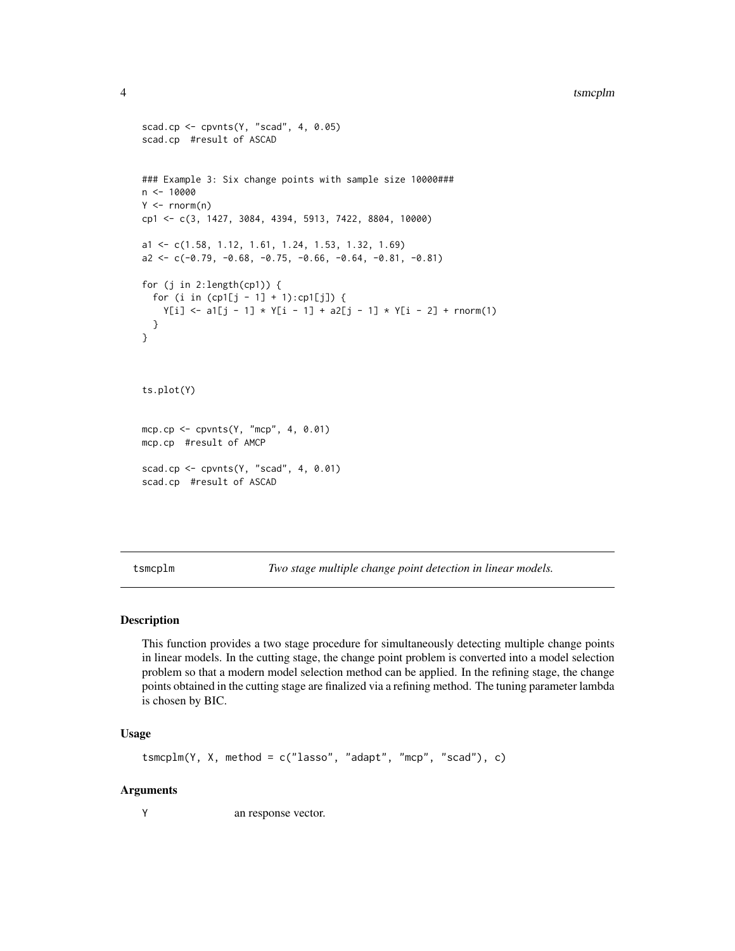#### <span id="page-3-0"></span>4 tsmcplm

```
scad.cp <- cpvnts(Y, "scad", 4, 0.05)
scad.cp #result of ASCAD
### Example 3: Six change points with sample size 10000###
n <- 10000
Y \leq -rnorm(n)cp1 <- c(3, 1427, 3084, 4394, 5913, 7422, 8804, 10000)
a1 <- c(1.58, 1.12, 1.61, 1.24, 1.53, 1.32, 1.69)
a2 \leq -c(-0.79, -0.68, -0.75, -0.66, -0.64, -0.81, -0.81)for (j in 2:length(cp1)) {
  for (i in (cp1[j - 1] + 1):cp1[j]) {
    Y[i] <- a1[j - 1] * Y[i - 1] + a2[j - 1] * Y[i - 2] + rnorm(1)
  }
}
ts.plot(Y)
mcp.cp <- cpvnts(Y, "mcp", 4, 0.01)
mcp.cp #result of AMCP
scad.cp <- cpvnts(Y, "scad", 4, 0.01)
scad.cp #result of ASCAD
```
tsmcplm *Two stage multiple change point detection in linear models.*

# Description

This function provides a two stage procedure for simultaneously detecting multiple change points in linear models. In the cutting stage, the change point problem is converted into a model selection problem so that a modern model selection method can be applied. In the refining stage, the change points obtained in the cutting stage are finalized via a refining method. The tuning parameter lambda is chosen by BIC.

# Usage

```
tsmcplm(Y, X, method = c("lasso", "adapt", "mcp", "scad"), c)
```
#### Arguments

Y an response vector.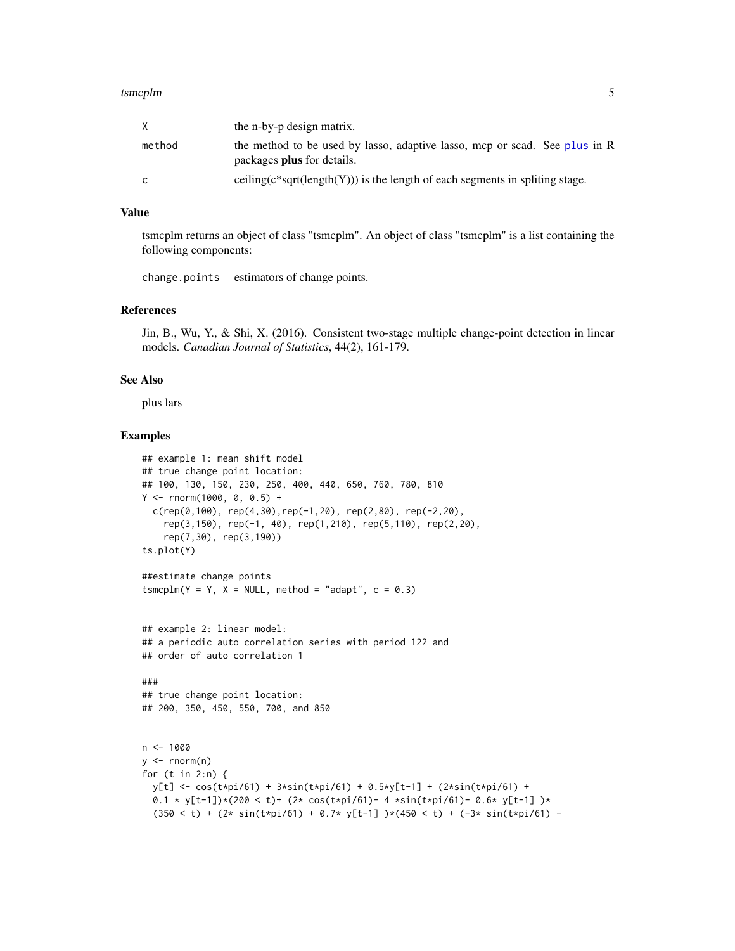#### <span id="page-4-0"></span>tsmcplm 5

|        | the n-by-p design matrix.                                                                                       |
|--------|-----------------------------------------------------------------------------------------------------------------|
| method | the method to be used by lasso, adaptive lasso, mcp or scad. See plus in R<br>packages <b>plus</b> for details. |
| C      | ceiling( $c$ *sqrt(length $(Y)$ )) is the length of each segments in spliting stage.                            |

# Value

tsmcplm returns an object of class "tsmcplm". An object of class "tsmcplm" is a list containing the following components:

change.points estimators of change points.

## References

Jin, B., Wu, Y., & Shi, X. (2016). Consistent two-stage multiple change-point detection in linear models. *Canadian Journal of Statistics*, 44(2), 161-179.

#### See Also

plus lars

#### Examples

```
## example 1: mean shift model
## true change point location:
## 100, 130, 150, 230, 250, 400, 440, 650, 760, 780, 810
Y \le - rnorm(1000, 0, 0.5) +
  c(rep(\theta,100), rep(4,30), rep(-1,20), rep(2,80), rep(-2,20),rep(3,150), rep(-1, 40), rep(1,210), rep(5,110), rep(2,20),
    rep(7,30), rep(3,190))
ts.plot(Y)
##estimate change points
tsmcplm(Y = Y, X = NULL, method = "adapt", c = 0.3)
## example 2: linear model:
## a periodic auto correlation series with period 122 and
## order of auto correlation 1
###
## true change point location:
## 200, 350, 450, 550, 700, and 850
n < - 1000y \le - rnorm(n)for (t in 2:n) {
  y[t] <- cos(t*pi/61) + 3*sin(t*pi/61) + 0.5*y[t-1] + (2*sin(t*pi/61) +
  0.1 * y[t-1] * (200 < t) + (2 * cos(t*pi/61) - 4 * sin(t*pi/61) - 0.6 * y[t-1]) *(350 < t) + (2 \times \sin(t \times \pi) / 61) + 0.7 \times y[t-1] )\times(450 < t) + (-3 \times \sin(t \times \pi) / 61) -
```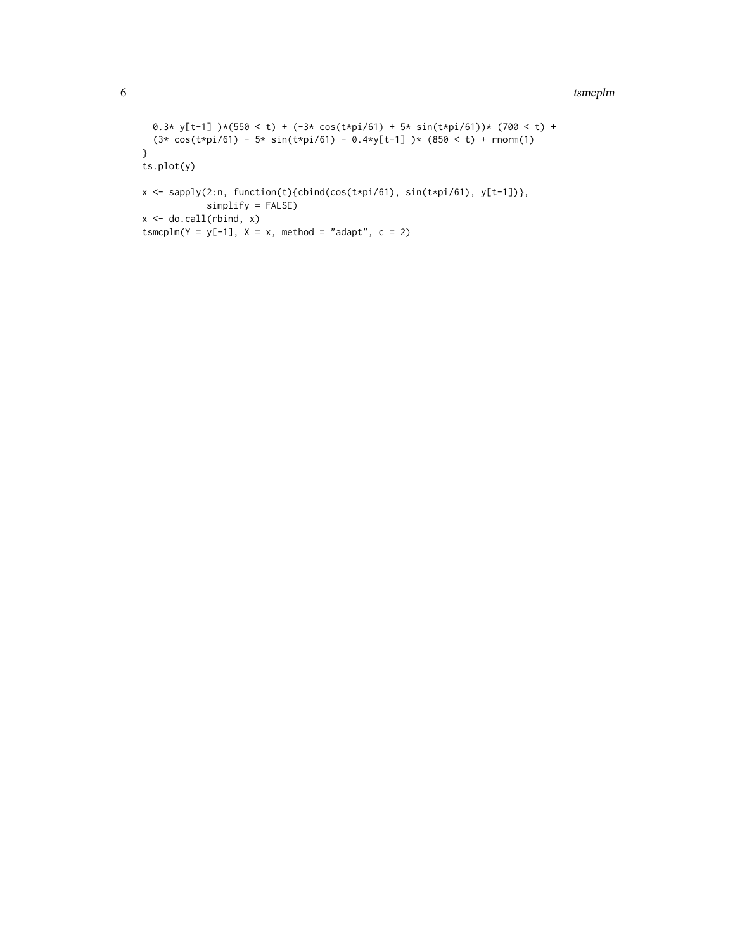#### 6 tsmcplm

```
0.3* y[t-1] )*(550 < t) + (-3* cos(t*pi/61) + 5* sin(t*pi/61)) * (700 < t) +(3* cos(t*pi/61) - 5* sin(t*pi/61) - 0.4*y[t-1] )*(850 < t) + rnorm(1)}
ts.plot(y)
x <- sapply(2:n, function(t){cbind(cos(t*pi/61), sin(t*pi/61), y[t-1])},
            simplify = FALSE)
x \leftarrow do-call(rbind, x)tsmcplm(Y = y[-1], X = x, method = "adapt", c = 2)
```